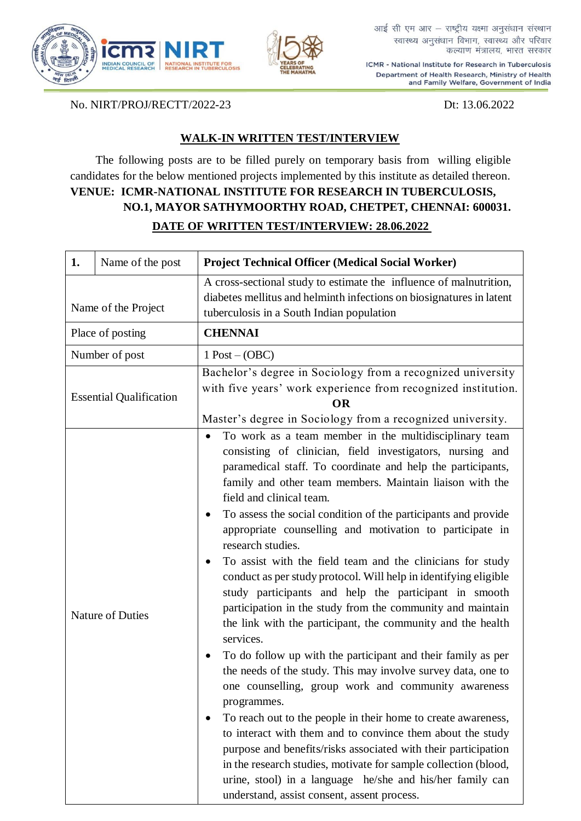



आई सी एम आर - राष्ट्रीय यक्ष्मा अनुसंधान संस्थान स्वास्थ्य अनुसंधान विभाग, स्वास्थ्य और परिवार कल्याण मंत्रालय, भारत सरकार

ICMR - National Institute for Research in Tuberculosis Department of Health Research, Ministry of Health and Family Welfare, Government of India

No. NIRT/PROJ/RECTT/2022-23 Dt: 13.06.2022

## **WALK-IN WRITTEN TEST/INTERVIEW**

The following posts are to be filled purely on temporary basis from willing eligible candidates for the below mentioned projects implemented by this institute as detailed thereon. **VENUE: ICMR-NATIONAL INSTITUTE FOR RESEARCH IN TUBERCULOSIS, NO.1, MAYOR SATHYMOORTHY ROAD, CHETPET, CHENNAI: 600031. DATE OF WRITTEN TEST/INTERVIEW: 28.06.2022**

| 1.                             | Name of the post        | <b>Project Technical Officer (Medical Social Worker)</b>                                                                                                                                                                                                                                                                                                                                                                                                                                                                                                                                                                                                                                                                                                                                                                                                                                                                                                                                                                                                                                                                                                                                                                                                                                                                                                                           |
|--------------------------------|-------------------------|------------------------------------------------------------------------------------------------------------------------------------------------------------------------------------------------------------------------------------------------------------------------------------------------------------------------------------------------------------------------------------------------------------------------------------------------------------------------------------------------------------------------------------------------------------------------------------------------------------------------------------------------------------------------------------------------------------------------------------------------------------------------------------------------------------------------------------------------------------------------------------------------------------------------------------------------------------------------------------------------------------------------------------------------------------------------------------------------------------------------------------------------------------------------------------------------------------------------------------------------------------------------------------------------------------------------------------------------------------------------------------|
| Name of the Project            |                         | A cross-sectional study to estimate the influence of malnutrition,<br>diabetes mellitus and helminth infections on biosignatures in latent<br>tuberculosis in a South Indian population                                                                                                                                                                                                                                                                                                                                                                                                                                                                                                                                                                                                                                                                                                                                                                                                                                                                                                                                                                                                                                                                                                                                                                                            |
|                                | Place of posting        | <b>CHENNAI</b>                                                                                                                                                                                                                                                                                                                                                                                                                                                                                                                                                                                                                                                                                                                                                                                                                                                                                                                                                                                                                                                                                                                                                                                                                                                                                                                                                                     |
|                                | Number of post          | $1$ Post $-(OBC)$                                                                                                                                                                                                                                                                                                                                                                                                                                                                                                                                                                                                                                                                                                                                                                                                                                                                                                                                                                                                                                                                                                                                                                                                                                                                                                                                                                  |
| <b>Essential Qualification</b> |                         | Bachelor's degree in Sociology from a recognized university<br>with five years' work experience from recognized institution.<br><b>OR</b><br>Master's degree in Sociology from a recognized university.                                                                                                                                                                                                                                                                                                                                                                                                                                                                                                                                                                                                                                                                                                                                                                                                                                                                                                                                                                                                                                                                                                                                                                            |
|                                | <b>Nature of Duties</b> | To work as a team member in the multidisciplinary team<br>$\bullet$<br>consisting of clinician, field investigators, nursing and<br>paramedical staff. To coordinate and help the participants,<br>family and other team members. Maintain liaison with the<br>field and clinical team.<br>To assess the social condition of the participants and provide<br>appropriate counselling and motivation to participate in<br>research studies.<br>To assist with the field team and the clinicians for study<br>$\bullet$<br>conduct as per study protocol. Will help in identifying eligible<br>study participants and help the participant in smooth<br>participation in the study from the community and maintain<br>the link with the participant, the community and the health<br>services.<br>To do follow up with the participant and their family as per<br>the needs of the study. This may involve survey data, one to<br>one counselling, group work and community awareness<br>programmes.<br>To reach out to the people in their home to create awareness,<br>to interact with them and to convince them about the study<br>purpose and benefits/risks associated with their participation<br>in the research studies, motivate for sample collection (blood,<br>urine, stool) in a language he/she and his/her family can<br>understand, assist consent, assent process. |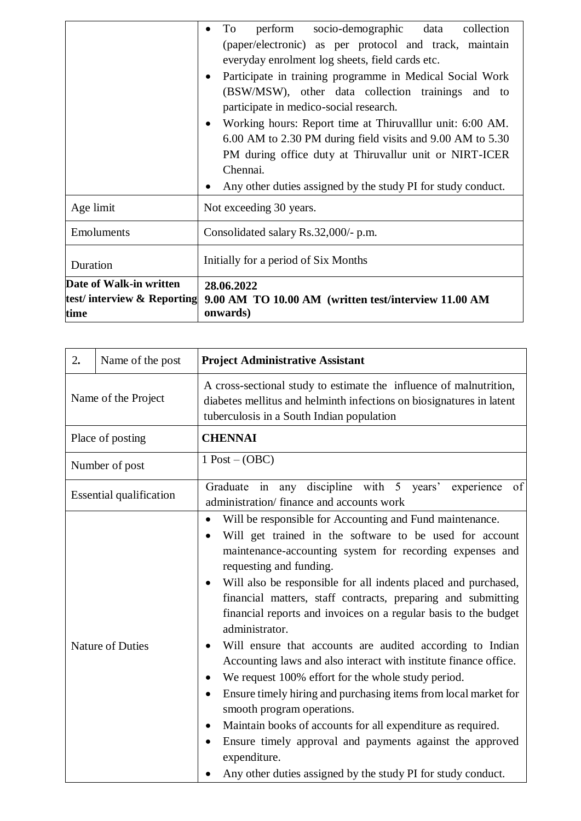|                                                               | perform socio-demographic data collection<br>To<br>(paper/electronic) as per protocol and track, maintain<br>everyday enrolment log sheets, field cards etc.<br>Participate in training programme in Medical Social Work<br>٠<br>(BSW/MSW), other data collection trainings and to<br>participate in medico-social research.<br>Working hours: Report time at Thiruvalllur unit: 6:00 AM.<br>٠<br>6.00 AM to 2.30 PM during field visits and 9.00 AM to 5.30<br>PM during office duty at Thiruvallur unit or NIRT-ICER<br>Chennai.<br>Any other duties assigned by the study PI for study conduct. |
|---------------------------------------------------------------|----------------------------------------------------------------------------------------------------------------------------------------------------------------------------------------------------------------------------------------------------------------------------------------------------------------------------------------------------------------------------------------------------------------------------------------------------------------------------------------------------------------------------------------------------------------------------------------------------|
| Age limit                                                     | Not exceeding 30 years.                                                                                                                                                                                                                                                                                                                                                                                                                                                                                                                                                                            |
| Emoluments                                                    | Consolidated salary Rs.32,000/- p.m.                                                                                                                                                                                                                                                                                                                                                                                                                                                                                                                                                               |
| Duration                                                      | Initially for a period of Six Months                                                                                                                                                                                                                                                                                                                                                                                                                                                                                                                                                               |
| Date of Walk-in written<br>test/interview & Reporting<br>time | 28.06.2022<br>9.00 AM TO 10.00 AM (written test/interview 11.00 AM<br>onwards)                                                                                                                                                                                                                                                                                                                                                                                                                                                                                                                     |

| 2.<br>Name of the post         | <b>Project Administrative Assistant</b>                                                                                                                                                                                                                                                                                                                                                                                                                                                                                                                                                                                                                                                                                                                                                                                                                                                                                                                                     |
|--------------------------------|-----------------------------------------------------------------------------------------------------------------------------------------------------------------------------------------------------------------------------------------------------------------------------------------------------------------------------------------------------------------------------------------------------------------------------------------------------------------------------------------------------------------------------------------------------------------------------------------------------------------------------------------------------------------------------------------------------------------------------------------------------------------------------------------------------------------------------------------------------------------------------------------------------------------------------------------------------------------------------|
| Name of the Project            | A cross-sectional study to estimate the influence of malnutrition,<br>diabetes mellitus and helminth infections on biosignatures in latent<br>tuberculosis in a South Indian population                                                                                                                                                                                                                                                                                                                                                                                                                                                                                                                                                                                                                                                                                                                                                                                     |
| Place of posting               | <b>CHENNAI</b>                                                                                                                                                                                                                                                                                                                                                                                                                                                                                                                                                                                                                                                                                                                                                                                                                                                                                                                                                              |
| Number of post                 | $1$ Post $-(OBC)$                                                                                                                                                                                                                                                                                                                                                                                                                                                                                                                                                                                                                                                                                                                                                                                                                                                                                                                                                           |
| <b>Essential qualification</b> | Graduate in any discipline with 5 years' experience of<br>administration/ finance and accounts work                                                                                                                                                                                                                                                                                                                                                                                                                                                                                                                                                                                                                                                                                                                                                                                                                                                                         |
| <b>Nature of Duties</b>        | Will be responsible for Accounting and Fund maintenance.<br>$\bullet$<br>Will get trained in the software to be used for account<br>maintenance-accounting system for recording expenses and<br>requesting and funding.<br>Will also be responsible for all indents placed and purchased,<br>financial matters, staff contracts, preparing and submitting<br>financial reports and invoices on a regular basis to the budget<br>administrator.<br>Will ensure that accounts are audited according to Indian<br>Accounting laws and also interact with institute finance office.<br>We request 100% effort for the whole study period.<br>Ensure timely hiring and purchasing items from local market for<br>smooth program operations.<br>Maintain books of accounts for all expenditure as required.<br>$\bullet$<br>Ensure timely approval and payments against the approved<br>$\bullet$<br>expenditure.<br>Any other duties assigned by the study PI for study conduct. |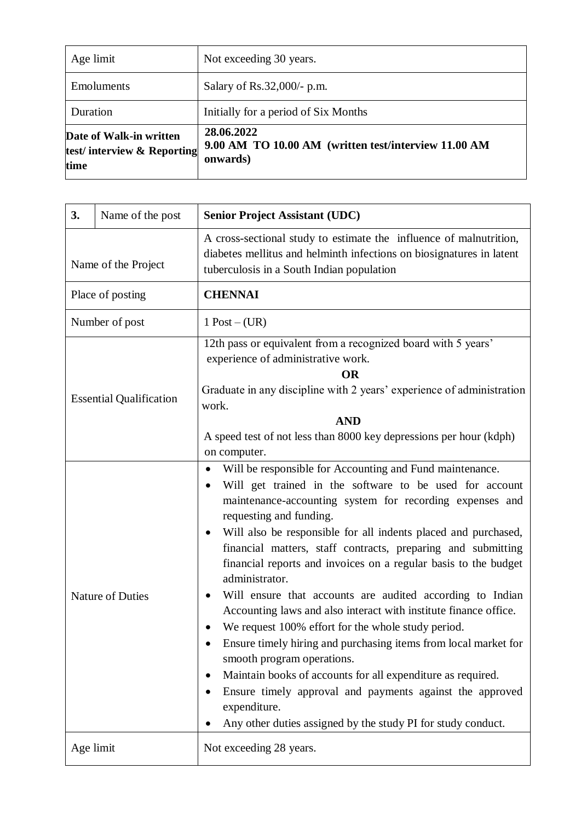| Age limit                                                     | Not exceeding 30 years.                                                        |
|---------------------------------------------------------------|--------------------------------------------------------------------------------|
| Emoluments                                                    | Salary of Rs.32,000/- p.m.                                                     |
| Duration                                                      | Initially for a period of Six Months                                           |
| Date of Walk-in written<br>test/interview & Reporting<br>time | 28.06.2022<br>9.00 AM TO 10.00 AM (written test/interview 11.00 AM<br>onwards) |

| 3.                  | Name of the post               | <b>Senior Project Assistant (UDC)</b>                                                                                                                                                                                                                                                                                                                                                                                                                                                                                                                                                                                                                                                                                                                                                                                                                                                                                                                  |
|---------------------|--------------------------------|--------------------------------------------------------------------------------------------------------------------------------------------------------------------------------------------------------------------------------------------------------------------------------------------------------------------------------------------------------------------------------------------------------------------------------------------------------------------------------------------------------------------------------------------------------------------------------------------------------------------------------------------------------------------------------------------------------------------------------------------------------------------------------------------------------------------------------------------------------------------------------------------------------------------------------------------------------|
| Name of the Project |                                | A cross-sectional study to estimate the influence of malnutrition,<br>diabetes mellitus and helminth infections on biosignatures in latent<br>tuberculosis in a South Indian population                                                                                                                                                                                                                                                                                                                                                                                                                                                                                                                                                                                                                                                                                                                                                                |
| Place of posting    |                                | <b>CHENNAI</b>                                                                                                                                                                                                                                                                                                                                                                                                                                                                                                                                                                                                                                                                                                                                                                                                                                                                                                                                         |
| Number of post      |                                | $1$ Post $-(UR)$                                                                                                                                                                                                                                                                                                                                                                                                                                                                                                                                                                                                                                                                                                                                                                                                                                                                                                                                       |
|                     | <b>Essential Qualification</b> | 12th pass or equivalent from a recognized board with 5 years'<br>experience of administrative work.<br><b>OR</b><br>Graduate in any discipline with 2 years' experience of administration<br>work.<br><b>AND</b><br>A speed test of not less than 8000 key depressions per hour (kdph)<br>on computer.                                                                                                                                                                                                                                                                                                                                                                                                                                                                                                                                                                                                                                                 |
|                     | Nature of Duties               | Will be responsible for Accounting and Fund maintenance.<br>$\bullet$<br>Will get trained in the software to be used for account<br>maintenance-accounting system for recording expenses and<br>requesting and funding.<br>Will also be responsible for all indents placed and purchased,<br>٠<br>financial matters, staff contracts, preparing and submitting<br>financial reports and invoices on a regular basis to the budget<br>administrator.<br>Will ensure that accounts are audited according to Indian<br>Accounting laws and also interact with institute finance office.<br>We request 100% effort for the whole study period.<br>Ensure timely hiring and purchasing items from local market for<br>smooth program operations.<br>Maintain books of accounts for all expenditure as required.<br>Ensure timely approval and payments against the approved<br>expenditure.<br>Any other duties assigned by the study PI for study conduct. |
|                     | Age limit                      | Not exceeding 28 years.                                                                                                                                                                                                                                                                                                                                                                                                                                                                                                                                                                                                                                                                                                                                                                                                                                                                                                                                |